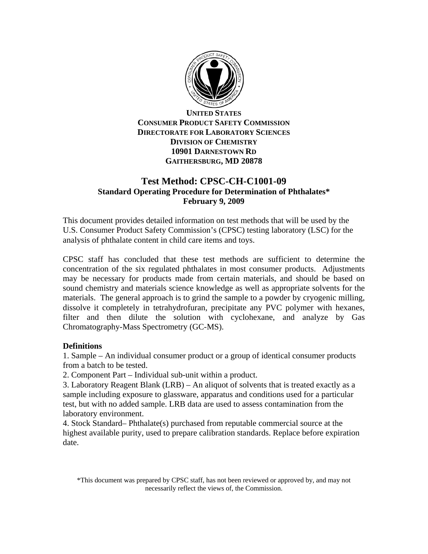

**UNITED STATES CONSUMER PRODUCT SAFETY COMMISSION DIRECTORATE FOR LABORATORY SCIENCES DIVISION OF CHEMISTRY 10901 DARNESTOWN RD GAITHERSBURG, MD 20878** 

## **Test Method: CPSC-CH-C1001-09 Standard Operating Procedure for Determination of Phthalates\* February 9, 2009**

This document provides detailed information on test methods that will be used by the U.S. Consumer Product Safety Commission's (CPSC) testing laboratory (LSC) for the analysis of phthalate content in child care items and toys.

CPSC staff has concluded that these test methods are sufficient to determine the concentration of the six regulated phthalates in most consumer products. Adjustments may be necessary for products made from certain materials, and should be based on sound chemistry and materials science knowledge as well as appropriate solvents for the materials. The general approach is to grind the sample to a powder by cryogenic milling, dissolve it completely in tetrahydrofuran, precipitate any PVC polymer with hexanes, filter and then dilute the solution with cyclohexane, and analyze by Gas Chromatography-Mass Spectrometry (GC-MS).

### **Definitions**

1. Sample – An individual consumer product or a group of identical consumer products from a batch to be tested.

2. Component Part – Individual sub-unit within a product.

3. Laboratory Reagent Blank (LRB) – An aliquot of solvents that is treated exactly as a sample including exposure to glassware, apparatus and conditions used for a particular test, but with no added sample. LRB data are used to assess contamination from the laboratory environment.

4. Stock Standard– Phthalate(s) purchased from reputable commercial source at the highest available purity, used to prepare calibration standards. Replace before expiration date.

<sup>\*</sup>This document was prepared by CPSC staff, has not been reviewed or approved by, and may not necessarily reflect the views of, the Commission.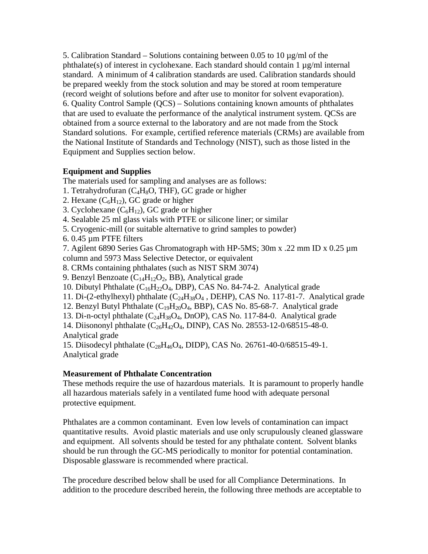5. Calibration Standard – Solutions containing between 0.05 to 10  $\mu$ g/ml of the phthalate(s) of interest in cyclohexane. Each standard should contain  $1 \mu g/ml$  internal standard. A minimum of 4 calibration standards are used. Calibration standards should be prepared weekly from the stock solution and may be stored at room temperature (record weight of solutions before and after use to monitor for solvent evaporation). 6. Quality Control Sample (QCS) – Solutions containing known amounts of phthalates that are used to evaluate the performance of the analytical instrument system. QCSs are obtained from a source external to the laboratory and are not made from the Stock Standard solutions. For example, certified reference materials (CRMs) are available from the National Institute of Standards and Technology (NIST), such as those listed in the Equipment and Supplies section below.

## **Equipment and Supplies**

The materials used for sampling and analyses are as follows:

1. Tetrahydrofuran ( $C_4H_8O$ , THF), GC grade or higher

2. Hexane  $(C_6H_{12})$ , GC grade or higher

3. Cyclohexane  $(C_6H_{12})$ , GC grade or higher

4. Sealable 25 ml glass vials with PTFE or silicone liner; or similar

5. Cryogenic-mill (or suitable alternative to grind samples to powder)

6. 0.45 µm PTFE filters

7. Agilent 6890 Series Gas Chromatograph with HP-5MS; 30m x .22 mm ID x 0.25 µm column and 5973 Mass Selective Detector, or equivalent

8. CRMs containing phthalates (such as NIST SRM 3074)

9. Benzyl Benzoate ( $C_{14}H_{12}O_2$ , BB), Analytical grade

10. Dibutyl Phthalate  $(C_{16}H_{22}O_4, DBP)$ , CAS No. 84-74-2. Analytical grade

11. Di-(2-ethylhexyl) phthalate (C24H38O4 , DEHP), CAS No. 117-81-7. Analytical grade

12. Benzyl Butyl Phthalate  $(C_{19}H_{20}O_4, BBP)$ , CAS No. 85-68-7. Analytical grade

13. Di-n-octyl phthalate  $(C_{24}H_{38}O_4, D_{10}O_{11})$ , CAS No. 117-84-0. Analytical grade

14. Diisononyl phthalate (C26H42O4, DINP), CAS No. 28553-12-0/68515-48-0. Analytical grade

15. Diisodecyl phthalate (C28H46O4, DIDP), CAS No. 26761-40-0/68515-49-1. Analytical grade

## **Measurement of Phthalate Concentration**

These methods require the use of hazardous materials. It is paramount to properly handle all hazardous materials safely in a ventilated fume hood with adequate personal protective equipment.

Phthalates are a common contaminant. Even low levels of contamination can impact quantitative results. Avoid plastic materials and use only scrupulously cleaned glassware and equipment. All solvents should be tested for any phthalate content. Solvent blanks should be run through the GC-MS periodically to monitor for potential contamination. Disposable glassware is recommended where practical.

The procedure described below shall be used for all Compliance Determinations. In addition to the procedure described herein, the following three methods are acceptable to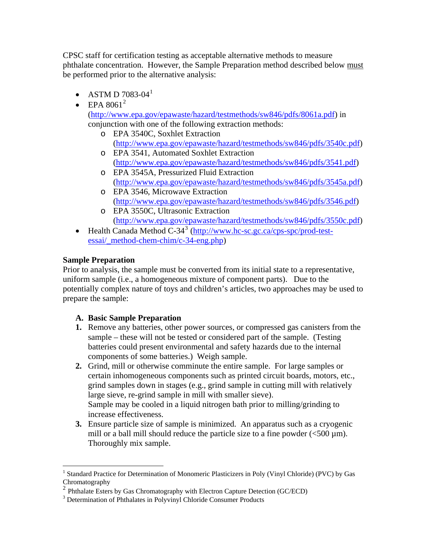CPSC staff for certification testing as acceptable alternative methods to measure phthalate concentration. However, the Sample Preparation method described below must be performed prior to the alternative analysis:

- ASTM D 7083-04 $^{1}$  $^{1}$  $^{1}$
- EPA  $8061^2$  $8061^2$

([http://www.epa.gov/epawaste/hazard/testmethods/sw846/pdfs/8061a.pdf\)](http://www.epa.gov/epawaste/hazard/testmethods/sw846/pdfs/8061a.pdf) in conjunction with one of the following extraction methods:

- o EPA 3540C, Soxhlet Extraction ([http://www.epa.gov/epawaste/hazard/testmethods/sw846/pdfs/3540c.pdf\)](http://www.epa.gov/epawaste/hazard/testmethods/sw846/pdfs/3540c.pdf)
- o EPA 3541, Automated Soxhlet Extraction ([http://www.epa.gov/epawaste/hazard/testmethods/sw846/pdfs/3541.pdf\)](http://www.epa.gov/epawaste/hazard/testmethods/sw846/pdfs/3541.pdf)
- o EPA 3545A, Pressurized Fluid Extraction ([http://www.epa.gov/epawaste/hazard/testmethods/sw846/pdfs/3545a.pdf\)](http://www.epa.gov/epawaste/hazard/testmethods/sw846/pdfs/3545a.pdf)
- o EPA 3546, Microwave Extraction ([http://www.epa.gov/epawaste/hazard/testmethods/sw846/pdfs/3546.pdf\)](http://www.epa.gov/epawaste/hazard/testmethods/sw846/pdfs/3546.pdf)
- o EPA 3550C, Ultrasonic Extraction ([http://www.epa.gov/epawaste/hazard/testmethods/sw846/pdfs/3550c.pdf\)](http://www.epa.gov/epawaste/hazard/testmethods/sw846/pdfs/3550c.pdf)
- Health Canada Method  $C-34^3$  $C-34^3$  $C-34^3$  [\(http://www.hc-sc.gc.ca/cps-spc/prod-test](http://www.hc-sc.gc.ca/cps-spc/prod-test-essai/_method-chem-chim/c-34-eng.php)[essai/\\_method-chem-chim/c-34-eng.php\)](http://www.hc-sc.gc.ca/cps-spc/prod-test-essai/_method-chem-chim/c-34-eng.php)

# **Sample Preparation**

Prior to analysis, the sample must be converted from its initial state to a representative, uniform sample (i.e., a homogeneous mixture of component parts). Due to the potentially complex nature of toys and children's articles, two approaches may be used to prepare the sample:

## **A. Basic Sample Preparation**

- **1.** Remove any batteries, other power sources, or compressed gas canisters from the sample – these will not be tested or considered part of the sample. (Testing batteries could present environmental and safety hazards due to the internal components of some batteries.) Weigh sample.
- **2.** Grind, mill or otherwise comminute the entire sample. For large samples or certain inhomogeneous components such as printed circuit boards, motors, etc., grind samples down in stages (e.g., grind sample in cutting mill with relatively large sieve, re-grind sample in mill with smaller sieve). Sample may be cooled in a liquid nitrogen bath prior to milling/grinding to increase effectiveness.
- **3.** Ensure particle size of sample is minimized. An apparatus such as a cryogenic mill or a ball mill should reduce the particle size to a fine powder  $\left(\frac{500}{\mu m}\right)$ . Thoroughly mix sample.

<span id="page-2-0"></span><sup>&</sup>lt;sup>1</sup> Standard Practice for Determination of Monomeric Plasticizers in Poly (Vinyl Chloride) (PVC) by Gas Chromatography

<span id="page-2-1"></span> $<sup>2</sup>$  Phthalate Esters by Gas Chromatography with Electron Capture Detection (GC/ECD)</sup>

<span id="page-2-2"></span><sup>&</sup>lt;sup>3</sup> Determination of Phthalates in Polyvinyl Chloride Consumer Products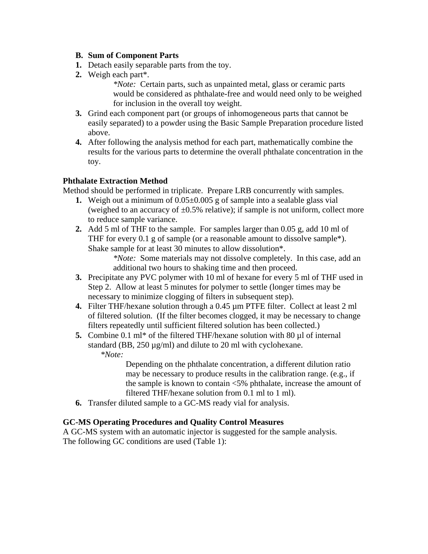#### **B. Sum of Component Parts**

- **1.** Detach easily separable parts from the toy.
- **2.** Weigh each part\*.

*\*Note:* Certain parts, such as unpainted metal, glass or ceramic parts would be considered as phthalate-free and would need only to be weighed for inclusion in the overall toy weight.

- **3.** Grind each component part (or groups of inhomogeneous parts that cannot be easily separated) to a powder using the Basic Sample Preparation procedure listed above.
- **4.** After following the analysis method for each part, mathematically combine the results for the various parts to determine the overall phthalate concentration in the toy.

### **Phthalate Extraction Method**

Method should be performed in triplicate. Prepare LRB concurrently with samples.

- **1.** Weigh out a minimum of 0.05±0.005 g of sample into a sealable glass vial (weighed to an accuracy of  $\pm 0.5\%$  relative); if sample is not uniform, collect more to reduce sample variance.
- **2.** Add 5 ml of THF to the sample. For samples larger than 0.05 g, add 10 ml of THF for every 0.1 g of sample (or a reasonable amount to dissolve sample\*). Shake sample for at least 30 minutes to allow dissolution\*.

*\*Note:* Some materials may not dissolve completely. In this case, add an additional two hours to shaking time and then proceed.

- **3.** Precipitate any PVC polymer with 10 ml of hexane for every 5 ml of THF used in Step 2. Allow at least 5 minutes for polymer to settle (longer times may be necessary to minimize clogging of filters in subsequent step).
- **4.** Filter THF/hexane solution through a 0.45 µm PTFE filter. Collect at least 2 ml of filtered solution. (If the filter becomes clogged, it may be necessary to change filters repeatedly until sufficient filtered solution has been collected.)
- **5.** Combine 0.1 ml<sup>\*</sup> of the filtered THF/hexane solution with 80 µl of internal standard (BB, 250 µg/ml) and dilute to 20 ml with cyclohexane. *\*Note:*

Depending on the phthalate concentration, a different dilution ratio may be necessary to produce results in the calibration range. (e.g., if the sample is known to contain <5% phthalate, increase the amount of filtered THF/hexane solution from 0.1 ml to 1 ml).

**6.** Transfer diluted sample to a GC-MS ready vial for analysis.

### **GC-MS Operating Procedures and Quality Control Measures**

A GC-MS system with an automatic injector is suggested for the sample analysis. The following GC conditions are used (Table 1):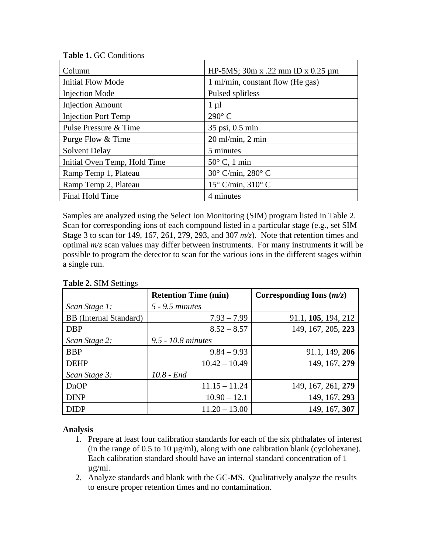| Column                       | HP-5MS; $30m \times .22$ mm ID $\times 0.25 \mu m$ |  |  |
|------------------------------|----------------------------------------------------|--|--|
| <b>Initial Flow Mode</b>     | 1 ml/min, constant flow (He gas)                   |  |  |
| <b>Injection Mode</b>        | Pulsed splitless                                   |  |  |
| <b>Injection Amount</b>      | $1 \mu l$                                          |  |  |
| <b>Injection Port Temp</b>   | $290^\circ$ C                                      |  |  |
| Pulse Pressure & Time        | 35 psi, 0.5 min                                    |  |  |
| Purge Flow & Time            | $20$ ml/min, $2$ min                               |  |  |
| <b>Solvent Delay</b>         | 5 minutes                                          |  |  |
| Initial Oven Temp, Hold Time | $50^{\circ}$ C, 1 min                              |  |  |
| Ramp Temp 1, Plateau         | $30^{\circ}$ C/min, $280^{\circ}$ C                |  |  |
| Ramp Temp 2, Plateau         | $15^{\circ}$ C/min, $310^{\circ}$ C                |  |  |
| Final Hold Time              | 4 minutes                                          |  |  |

Samples are analyzed using the Select Ion Monitoring (SIM) program listed in Table 2. Scan for corresponding ions of each compound listed in a particular stage (e.g., set SIM Stage 3 to scan for 149, 167, 261, 279, 293, and 307 *m/z*). Note that retention times and optimal *m/z* scan values may differ between instruments. For many instruments it will be possible to program the detector to scan for the various ions in the different stages within a single run.

| $\circ$                       | <b>Retention Time (min)</b> | Corresponding Ions $(m/z)$ |
|-------------------------------|-----------------------------|----------------------------|
| Scan Stage 1:                 | $5 - 9.5$ minutes           |                            |
| <b>BB</b> (Internal Standard) | $7.93 - 7.99$               | 91.1, 105, 194, 212        |
| <b>DBP</b>                    | $8.52 - 8.57$               | 149, 167, 205, 223         |
| Scan Stage 2:                 | 9.5 - 10.8 minutes          |                            |
| <b>BBP</b>                    | $9.84 - 9.93$               | 91.1, 149, 206             |
| <b>DEHP</b>                   | $10.42 - 10.49$             | 149, 167, 279              |
| Scan Stage 3:                 | $10.8 - End$                |                            |
| <b>DnOP</b>                   | $11.15 - 11.24$             | 149, 167, 261, 279         |
| <b>DINP</b>                   | $10.90 - 12.1$              | 149, 167, 293              |
| <b>DIDP</b>                   | $11.20 - 13.00$             | 149, 167, 307              |

**Table 2.** SIM Settings

### **Analysis**

- 1. Prepare at least four calibration standards for each of the six phthalates of interest (in the range of  $0.5$  to  $10 \mu g/ml$ ), along with one calibration blank (cyclohexane). Each calibration standard should have an internal standard concentration of 1 µg/ml.
- 2. Analyze standards and blank with the GC-MS. Qualitatively analyze the results to ensure proper retention times and no contamination.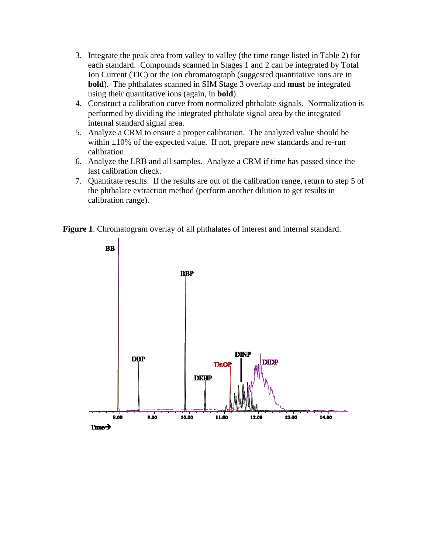- 3. Integrate the peak area from valley to valley (the time range listed in Table 2) for each standard. Compounds scanned in Stages 1 and 2 can be integrated by Total Ion Current (TIC) or the ion chromatograph (suggested quantitative ions are in **bold**). The phthalates scanned in SIM Stage 3 overlap and **must** be integrated using their quantitative ions (again, in **bold**).
- 4. Construct a calibration curve from normalized phthalate signals. Normalization is performed by dividing the integrated phthalate signal area by the integrated internal standard signal area.
- 5. Analyze a CRM to ensure a proper calibration. The analyzed value should be within  $\pm 10\%$  of the expected value. If not, prepare new standards and re-run calibration.
- 6. Analyze the LRB and all samples. Analyze a CRM if time has passed since the last calibration check.
- 7. Quantitate results. If the results are out of the calibration range, return to step 5 of the phthalate extraction method (perform another dilution to get results in calibration range).

**Figure 1**. Chromatogram overlay of all phthalates of interest and internal standard.